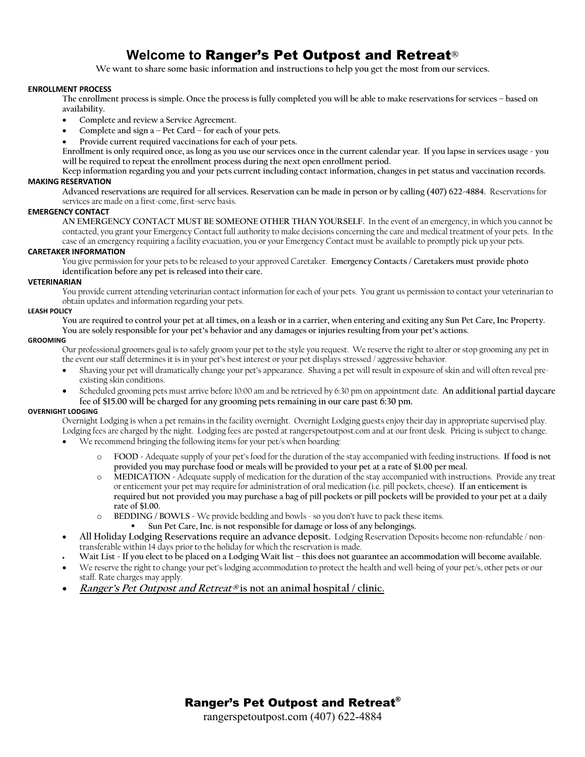# **Welcome to** Ranger's Pet Outpost and Retreat**®**

**We want to share some basic information and instructions to help you get the most from our services.**

## **ENROLLMENT PROCESS**

**The enrollment process is simple. Once the process is fully completed you will be able to make reservations for services – based on availability.** 

- **Complete and review a Service Agreement.**
- **Complete and sign a – Pet Card – for each of your pets.**
- **Provide current required vaccinations for each of your pets.**

**Enrollment is only required once, as long as you use our services once in the current calendar year. If you lapse in services usage - you will be required to repeat the enrollment process during the next open enrollment period.** 

**Keep information regarding you and your pets current including contact information, changes in pet status and vaccination records.**

**MAKING RESERVATION**

**Advanced reservations are required for all services. Reservation can be made in person or by calling (407) 622-4884.** Reservations for services are made on a first-come, first-serve basis.

# **EMERGENCY CONTACT**

**AN EMERGENCY CONTACT MUST BE SOMEONE OTHER THAN YOURSELF.** In the event of an emergency, in which you cannot be contacted, you grant your Emergency Contact full authority to make decisions concerning the care and medical treatment of your pets. In the case of an emergency requiring a facility evacuation, you or your Emergency Contact must be available to promptly pick up your pets.

# **CARETAKER INFORMATION**

You give permission for your pets to be released to your approved Caretaker. **Emergency Contacts / Caretakers must provide photo identification before any pet is released into their care.**

#### **VETERINARIAN**

You provide current attending veterinarian contact information for each of your pets. You grant us permission to contact your veterinarian to obtain updates and information regarding your pets.

#### **LEASH POLICY**

**You are required to control your pet at all times, on a leash or in a carrier, when entering and exiting any Sun Pet Care, Inc Property. You are solely responsible for your pet's behavior and any damages or injuries resulting from your pet's actions.** 

#### **GROOMING**

Our professional groomers goal is to safely groom your pet to the style you request. We reserve the right to alter or stop grooming any pet in the event our staff determines it is in your pet's best interest or your pet displays stressed / aggressive behavior.

- Shaving your pet will dramatically change your pet's appearance. Shaving a pet will result in exposure of skin and will often reveal preexisting skin conditions.
- Scheduled grooming pets must arrive before 10:00 am and be retrieved by 6:30 pm on appointment date. **An additional partial daycare fee of \$15.00 will be charged for any grooming pets remaining in our care past 6:30 pm.**

# **OVERNIGHT LODGING**

Overnight Lodging is when a pet remains in the facility overnight. Overnight Lodging guests enjoy their day in appropriate supervised play. Lodging fees are charged by the night. Lodging fees are posted at rangerspetoutpost.com and at our front desk. Pricing is subject to change.

- We recommend bringing the following items for your pet/s when boarding:
	- o **FOOD -** Adequate supply of your pet's food for the duration of the stay accompanied with feeding instructions. **If food is not provided you may purchase food or meals will be provided to your pet at a rate of \$1.00 per meal.**
	- o **MEDICATION -** Adequate supply of medication for the duration of the stay accompanied with instructions. Provide any treat or enticement your pet may require for administration of oral medication (i.e. pill pockets, cheese). **If an enticement is required but not provided you may purchase a bag of pill pockets or pill pockets will be provided to your pet at a daily rate of \$1.00.**
	- o **BEDDING / BOWLS -** We provide bedding and bowls so you don't have to pack these items.
		- ! **Sun Pet Care, Inc. is not responsible for damage or loss of any belongings.**
- **All Holiday Lodging Reservations require an advance deposit.** Lodging Reservation Deposits become non-refundable / nontransferable within 14 days prior to the holiday for which the reservation is made.
- **Wait List - If you elect to be placed on a Lodging Wait list – this does not guarantee an accommodation will become available.**
- We reserve the right to change your pet's lodging accommodation to protect the health and well-being of your pet/s, other pets or our staff. Rate charges may apply.
- **Ranger's Pet Outpost and Retreat® is not an animal hospital / clinic.**

# Ranger's Pet Outpost and Retreat®

rangerspetoutpost.com (407) 622-4884